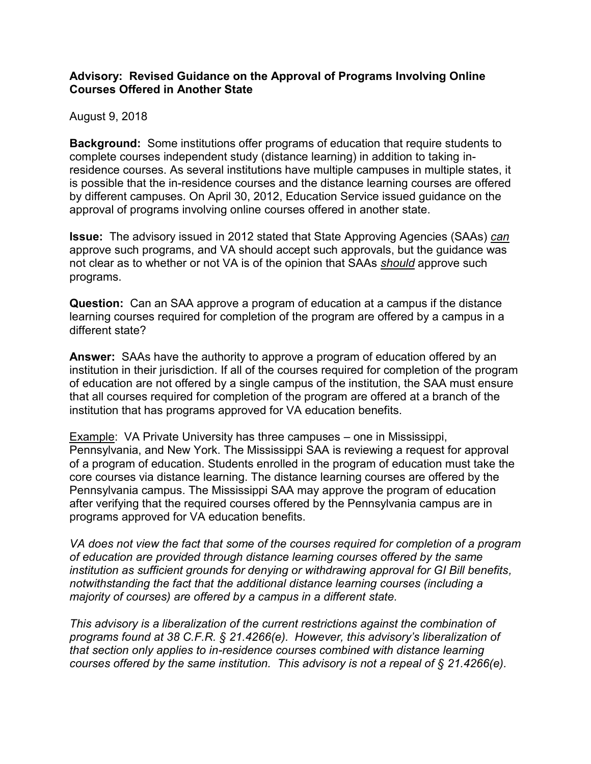## **Advisory: Revised Guidance on the Approval of Programs Involving Online Courses Offered in Another State**

## August 9, 2018

**Background:** Some institutions offer programs of education that require students to complete courses independent study (distance learning) in addition to taking inresidence courses. As several institutions have multiple campuses in multiple states, it is possible that the in-residence courses and the distance learning courses are offered by different campuses. On April 30, 2012, Education Service issued guidance on the approval of programs involving online courses offered in another state.

**Issue:** The advisory issued in 2012 stated that State Approving Agencies (SAAs) *can* approve such programs, and VA should accept such approvals, but the guidance was not clear as to whether or not VA is of the opinion that SAAs *should* approve such programs.

**Question:** Can an SAA approve a program of education at a campus if the distance learning courses required for completion of the program are offered by a campus in a different state?

**Answer:** SAAs have the authority to approve a program of education offered by an institution in their jurisdiction. If all of the courses required for completion of the program of education are not offered by a single campus of the institution, the SAA must ensure that all courses required for completion of the program are offered at a branch of the institution that has programs approved for VA education benefits.

Example: VA Private University has three campuses – one in Mississippi, Pennsylvania, and New York. The Mississippi SAA is reviewing a request for approval of a program of education. Students enrolled in the program of education must take the core courses via distance learning. The distance learning courses are offered by the Pennsylvania campus. The Mississippi SAA may approve the program of education after verifying that the required courses offered by the Pennsylvania campus are in programs approved for VA education benefits.

*VA does not view the fact that some of the courses required for completion of a program of education are provided through distance learning courses offered by the same institution as sufficient grounds for denying or withdrawing approval for GI Bill benefits, notwithstanding the fact that the additional distance learning courses (including a majority of courses) are offered by a campus in a different state.* 

*This advisory is a liberalization of the current restrictions against the combination of programs found at 38 C.F.R. § 21.4266(e). However, this advisory's liberalization of that section only applies to in-residence courses combined with distance learning courses offered by the same institution. This advisory is not a repeal of § 21.4266(e).*